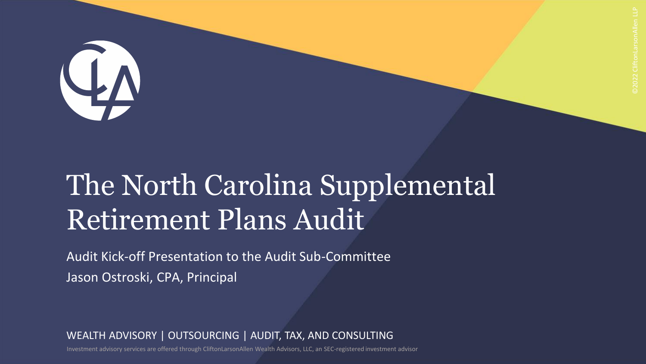

# The North Carolina Supplemental Retirement Plans Audit

Audit Kick-off Presentation to the Audit Sub-Committee Jason Ostroski, CPA, Principal

WEALTH ADVISORY | OUTSOURCING | AUDIT, TAX, AND CONSULTING

Investment advisory services are offered through CliftonLarsonAllen Wealth Advisors, LLC, an SEC-registered investment advisor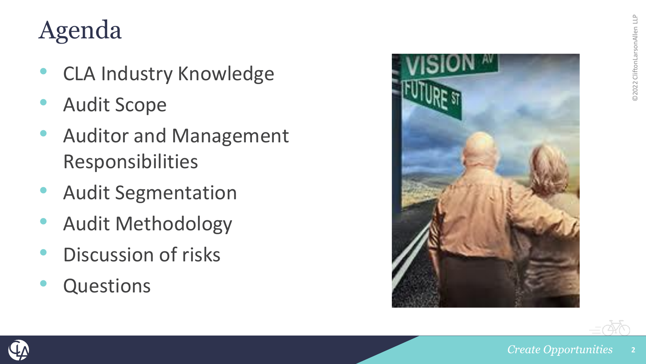# Agenda

- CLA Industry Knowledge
- Audit Scope
- Auditor and Management Responsibilities
- Audit Segmentation
- Audit Methodology
- Discussion of risks
- **Questions**





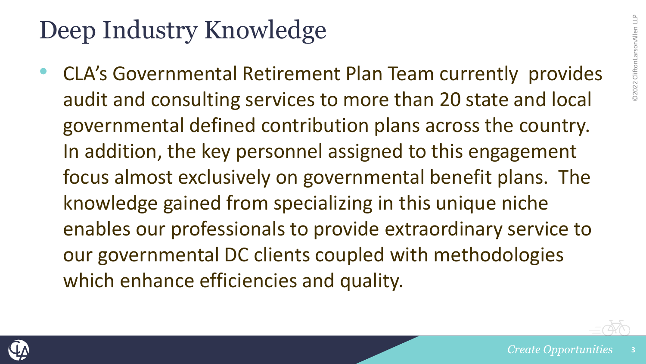# Deep Industry Knowledge

• CLA's Governmental Retirement Plan Team currently provides audit and consulting services to more than 20 state and local governmental defined contribution plans across the country. In addition, the key personnel assigned to this engagement focus almost exclusively on governmental benefit plans. The knowledge gained from specializing in this unique niche enables our professionals to provide extraordinary service to our governmental DC clients coupled with methodologies which enhance efficiencies and quality.

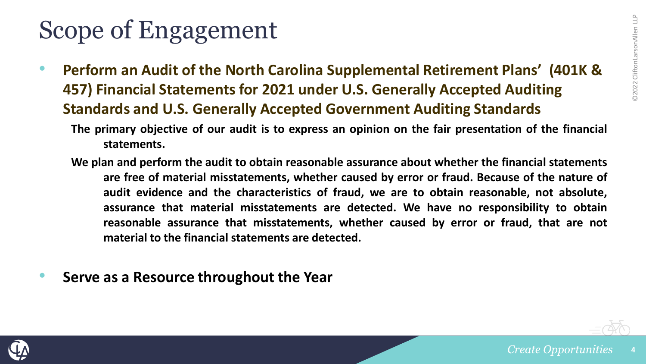### Scope of Engagement

- **Perform an Audit of the North Carolina Supplemental Retirement Plans' (401K & 457) Financial Statements for 2021 under U.S. Generally Accepted Auditing Standards and U.S. Generally Accepted Government Auditing Standards**
	- The primary objective of our audit is to express an opinion on the fair presentation of the financial **statements.**
	- **We plan and perform the audit to obtain reasonable assurance about whether the financial statements are free of material misstatements, whether caused by error or fraud. Because of the nature of audit evidence and the characteristics of fraud, we are to obtain reasonable, not absolute, assurance that material misstatements are detected. We have no responsibility to obtain reasonable assurance that misstatements, whether caused by error or fraud, that are not material to the financial statements are detected.**
- **Serve as a Resource throughout the Year**

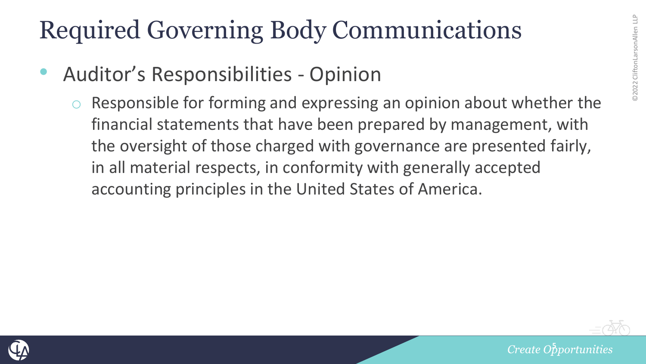- Auditor's Responsibilities Opinion
	- Responsible for forming and expressing an opinion about whether the financial statements that have been prepared by management, with the oversight of those charged with governance are presented fairly, in all material respects, in conformity with generally accepted accounting principles in the United States of America.



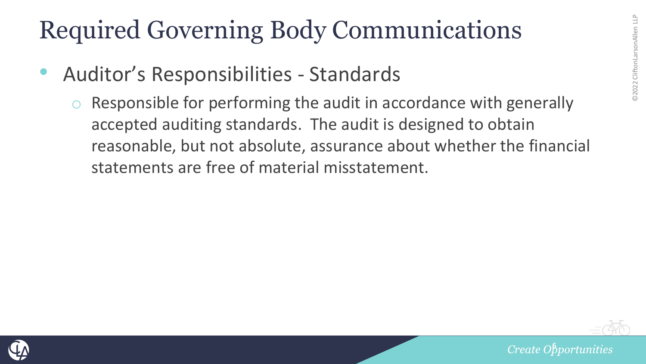- Auditor's Responsibilities Standards
	- Responsible for performing the audit in accordance with generally accepted auditing standards. The audit is designed to obtain reasonable, but not absolute, assurance about whether the financial statements are free of material misstatement.



*<u>Create Obportunities</u>*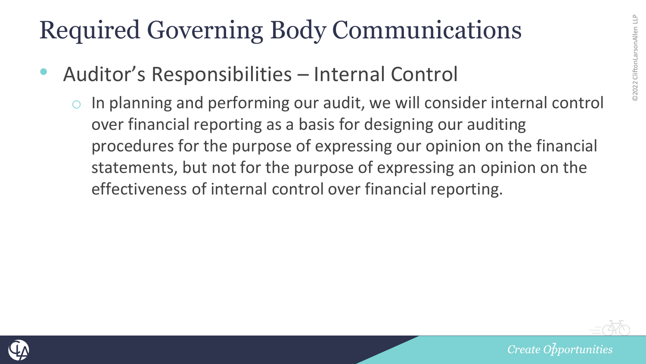- Auditor's Responsibilities Internal Control
	- In planning and performing our audit, we will consider internal control over financial reporting as a basis for designing our auditing procedures for the purpose of expressing our opinion on the financial statements, but not for the purpose of expressing an opinion on the effectiveness of internal control over financial reporting.



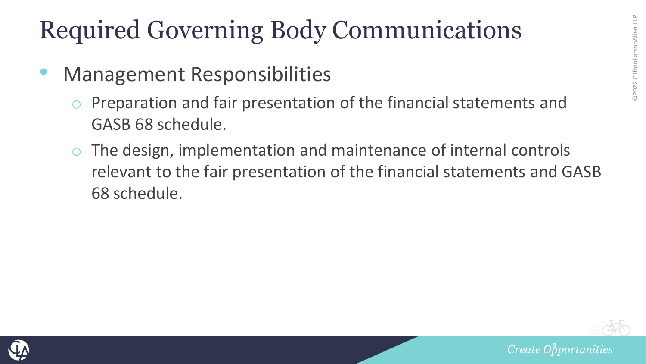- Management Responsibilities
	- Preparation and fair presentation of the financial statements and GASB 68 schedule.
	- The design, implementation and maintenance of internal controls relevant to the fair presentation of the financial statements and GASB 68 schedule.



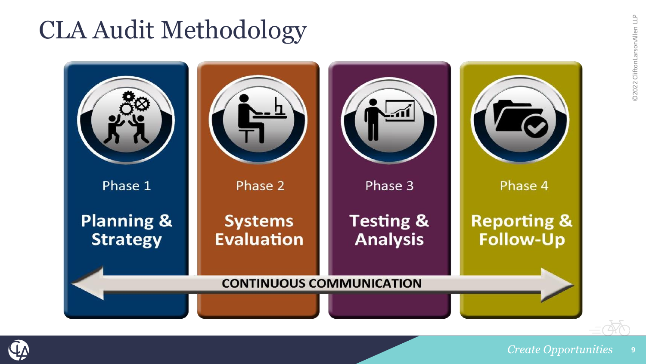# CLA Audit Methodology



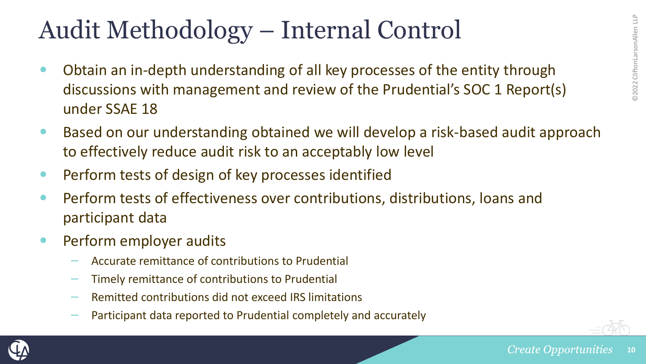#### Audit Methodology – Internal Control

- Obtain an in-depth understanding of all key processes of the entity through discussions with management and review of the Prudential's SOC 1 Report(s) under SSAE 18
- Based on our understanding obtained we will develop a risk-based audit approach to effectively reduce audit risk to an acceptably low level
- Perform tests of design of key processes identified
- Perform tests of effectiveness over contributions, distributions, loans and participant data
- Perform employer audits
	- Accurate remittance of contributions to Prudential
	- Timely remittance of contributions to Prudential
	- Remitted contributions did not exceed IRS limitations
	- Participant data reported to Prudential completely and accurately



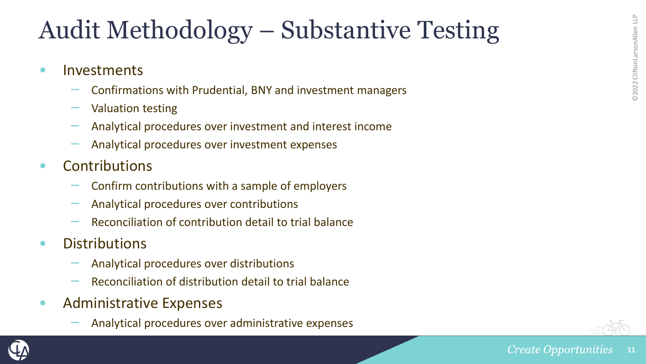### Audit Methodology – Substantive Testing

- Investments
	- Confirmations with Prudential, BNY and investment managers
	- Valuation testing
	- Analytical procedures over investment and interest income
	- Analytical procedures over investment expenses
- Contributions
	- Confirm contributions with a sample of employers
	- Analytical procedures over contributions
	- Reconciliation of contribution detail to trial balance
- Distributions
	- Analytical procedures over distributions
	- Reconciliation of distribution detail to trial balance
- Administrative Expenses
	- Analytical procedures over administrative expenses



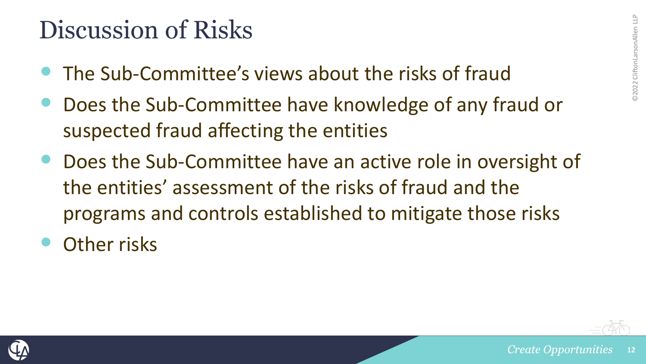### Discussion of Risks

- The Sub-Committee's views about the risks of fraud
- Does the Sub-Committee have knowledge of any fraud or suspected fraud affecting the entities
- Does the Sub-Committee have an active role in oversight of the entities' assessment of the risks of fraud and the programs and controls established to mitigate those risks
- Other risks



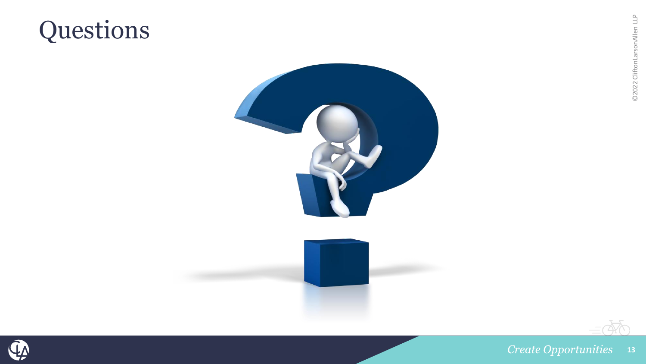# **Questions**



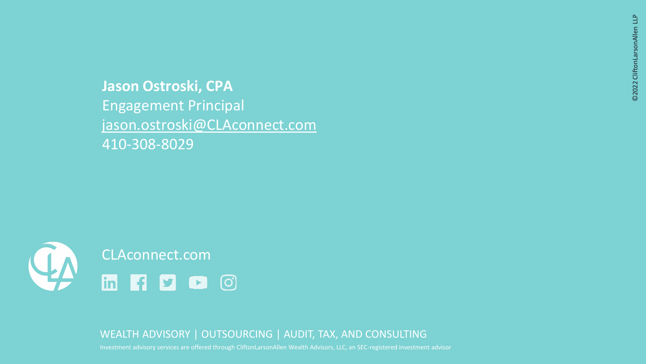**Jason Ostroski, CPA**  Engagement Principal jason.ostroski@CLAconnect.com 410-308-8029



WEALTH ADVISORY | OUTSOURCING | AUDIT, TAX, AND CONSULTING